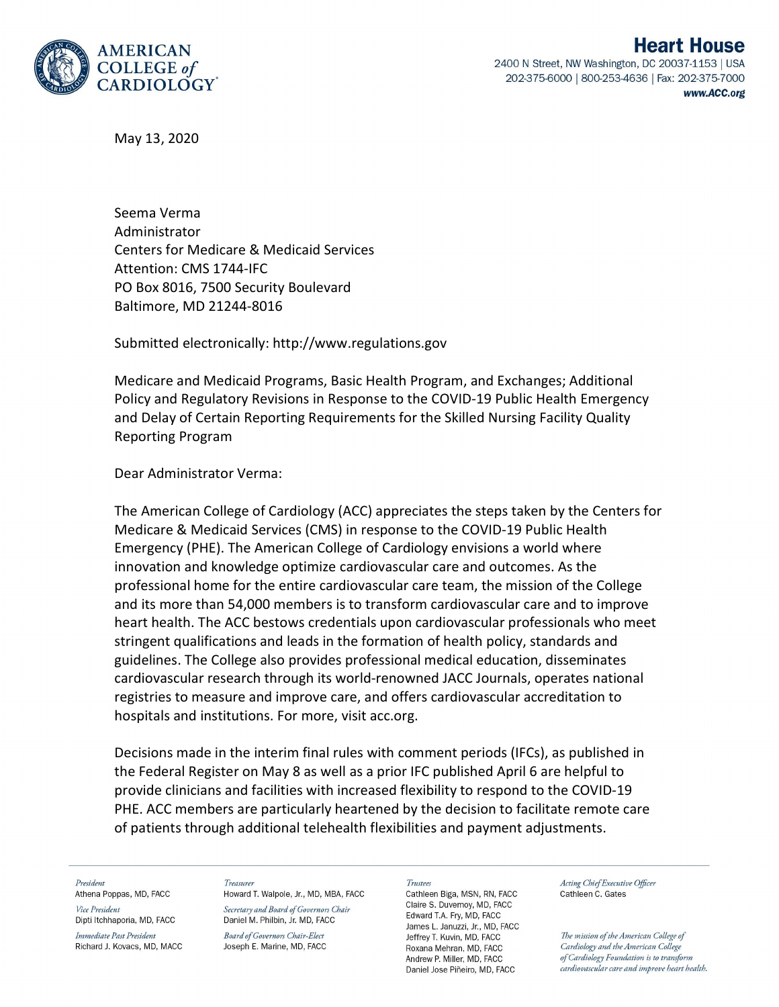

May 13, 2020

Seema Verma Administrator Centers for Medicare & Medicaid Services Attention: CMS 1744-IFC PO Box 8016, 7500 Security Boulevard Baltimore, MD 21244-8016

Submitted electronically: http://www.regulations.gov

Medicare and Medicaid Programs, Basic Health Program, and Exchanges; Additional Policy and Regulatory Revisions in Response to the COVID-19 Public Health Emergency and Delay of Certain Reporting Requirements for the Skilled Nursing Facility Quality Reporting Program

# Dear Administrator Verma:

The American College of Cardiology (ACC) appreciates the steps taken by the Centers for Medicare & Medicaid Services (CMS) in response to the COVID-19 Public Health Emergency (PHE). The American College of Cardiology envisions a world where innovation and knowledge optimize cardiovascular care and outcomes. As the professional home for the entire cardiovascular care team, the mission of the College and its more than 54,000 members is to transform cardiovascular care and to improve heart health. The ACC bestows credentials upon cardiovascular professionals who meet stringent qualifications and leads in the formation of health policy, standards and guidelines. The College also provides professional medical education, disseminates cardiovascular research through its world-renowned JACC Journals, operates national registries to measure and improve care, and offers cardiovascular accreditation to hospitals and institutions. For more, visit acc.org.

Decisions made in the interim final rules with comment periods (IFCs), as published in the Federal Register on May 8 as well as a prior IFC published April 6 are helpful to provide clinicians and facilities with increased flexibility to respond to the COVID-19 PHE. ACC members are particularly heartened by the decision to facilitate remote care of patients through additional telehealth flexibilities and payment adjustments.

President

Athena Poppas, MD, FACC Vice President Dipti Itchhaporia, MD, FACC

Immediate Past President Richard J. Kovacs, MD, MACC Treasurer Howard T. Walpole, Jr., MD, MBA, FACC

Secretary and Board of Governors Chair Daniel M. Philbin, Jr. MD, FACC

**Board of Governors Chair-Elect** Joseph E. Marine, MD, FACC

### **Trustee**

Cathleen Biga, MSN, RN, FACC Claire S. Duvernov, MD. FACC Edward T.A. Fry, MD, FACC James L. Januzzi, Jr., MD, FACC Jeffrey T. Kuvin, MD, FACC Roxana Mehran, MD, FACC Andrew P. Miller, MD. FACC Daniel Jose Piñeiro, MD, FACC

Acting Chief Executive Officer Cathleen C. Gates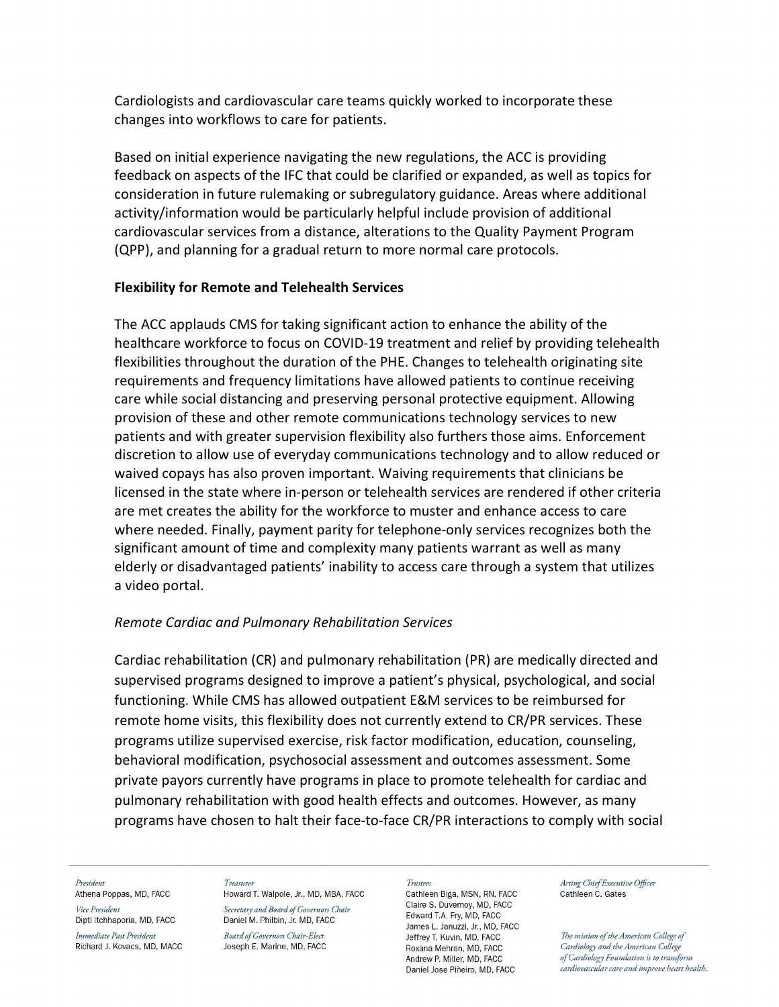Cardiologists and cardiovascular care teams quickly worked to incorporate these changes into workflows to care for patients.

Based on initial experience navigating the new regulations, the ACC is providing feedback on aspects of the IFC that could be clarified or expanded, as well as topics for consideration in future rulemaking or subregulatory guidance. Areas where additional activity/information would be particularly helpful include provision of additional cardiovascular services from a distance, alterations to the Quality Payment Program (QPP), and planning for a gradual return to more normal care protocols.

# Flexibility for Remote and Telehealth Services

The ACC applauds CMS for taking significant action to enhance the ability of the healthcare workforce to focus on COVID-19 treatment and relief by providing telehealth flexibilities throughout the duration of the PHE. Changes to telehealth originating site requirements and frequency limitations have allowed patients to continue receiving care while social distancing and preserving personal protective equipment. Allowing provision of these and other remote communications technology services to new patients and with greater supervision flexibility also furthers those aims. Enforcement discretion to allow use of everyday communications technology and to allow reduced or waived copays has also proven important. Waiving requirements that clinicians be licensed in the state where in-person or telehealth services are rendered if other criteria are met creates the ability for the workforce to muster and enhance access to care where needed. Finally, payment parity for telephone-only services recognizes both the significant amount of time and complexity many patients warrant as well as many elderly or disadvantaged patients' inability to access care through a system that utilizes a video portal.

# Remote Cardiac and Pulmonary Rehabilitation Services

Cardiac rehabilitation (CR) and pulmonary rehabilitation (PR) are medically directed and supervised programs designed to improve a patient's physical, psychological, and social functioning. While CMS has allowed outpatient E&M services to be reimbursed for remote home visits, this flexibility does not currently extend to CR/PR services. These programs utilize supervised exercise, risk factor modification, education, counseling, behavioral modification, psychosocial assessment and outcomes assessment. Some private payors currently have programs in place to promote telehealth for cardiac and pulmonary rehabilitation with good health effects and outcomes. However, as many programs have chosen to halt their face-to-face CR/PR interactions to comply with social

### President

Athena Poppas, MD, FACC Vice President Dipti Itchhaporia, MD, FACC

Immediate Past President Richard J. Kovacs, MD, MACC

### Treasurer

Howard T. Walpole, Jr., MD, MBA, FACC Secretary and Board of Governors Chair Daniel M. Philbin, Jr. MD, FACC

**Board of Governors Chair-Elect** Joseph E. Marine, MD, FACC

### Trustees

Cathleen Biga, MSN, RN, FACC Claire S. Duvernoy, MD, FACC Edward T.A. Fry, MD, FACC James L. Januzzi, Jr., MD, FACC Jeffrey T. Kuvin, MD, FACC Roxana Mehran, MD, FACC Andrew P. Miller, MD. FACC Daniel Jose Piñeiro, MD, FACC

Acting Chief Executive Officer Cathleen C. Gates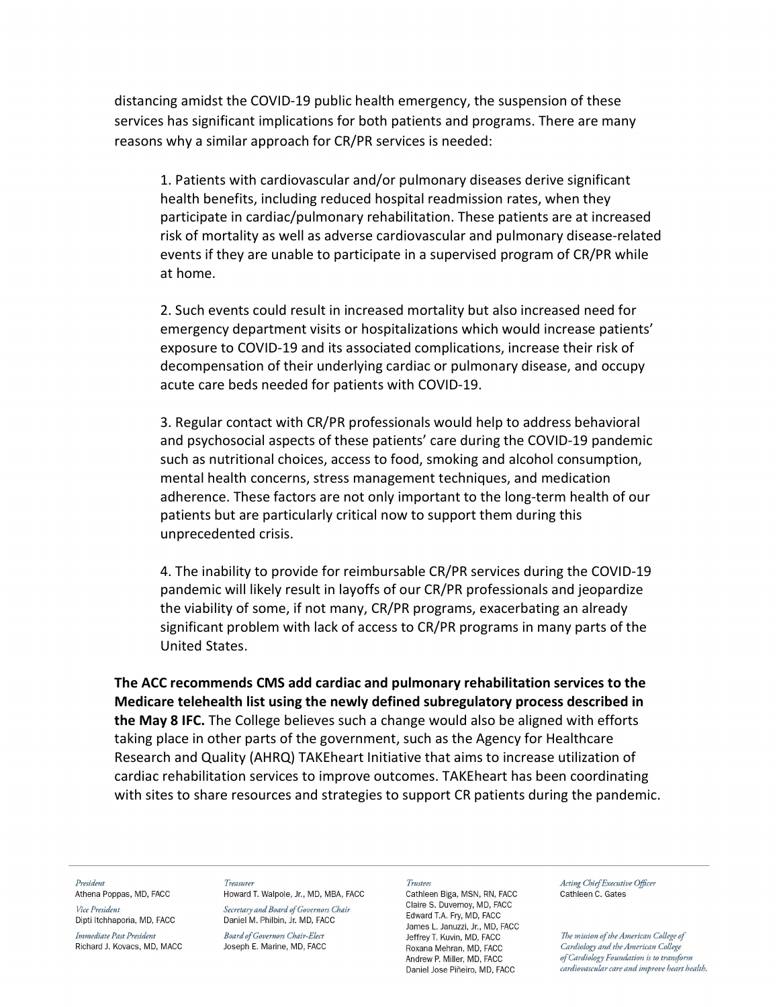distancing amidst the COVID-19 public health emergency, the suspension of these services has significant implications for both patients and programs. There are many reasons why a similar approach for CR/PR services is needed:

1. Patients with cardiovascular and/or pulmonary diseases derive significant health benefits, including reduced hospital readmission rates, when they participate in cardiac/pulmonary rehabilitation. These patients are at increased risk of mortality as well as adverse cardiovascular and pulmonary disease-related events if they are unable to participate in a supervised program of CR/PR while at home.

2. Such events could result in increased mortality but also increased need for emergency department visits or hospitalizations which would increase patients' exposure to COVID-19 and its associated complications, increase their risk of decompensation of their underlying cardiac or pulmonary disease, and occupy acute care beds needed for patients with COVID-19.

3. Regular contact with CR/PR professionals would help to address behavioral and psychosocial aspects of these patients' care during the COVID-19 pandemic such as nutritional choices, access to food, smoking and alcohol consumption, mental health concerns, stress management techniques, and medication adherence. These factors are not only important to the long-term health of our patients but are particularly critical now to support them during this unprecedented crisis.

4. The inability to provide for reimbursable CR/PR services during the COVID-19 pandemic will likely result in layoffs of our CR/PR professionals and jeopardize the viability of some, if not many, CR/PR programs, exacerbating an already significant problem with lack of access to CR/PR programs in many parts of the United States.

The ACC recommends CMS add cardiac and pulmonary rehabilitation services to the Medicare telehealth list using the newly defined subregulatory process described in the May 8 IFC. The College believes such a change would also be aligned with efforts taking place in other parts of the government, such as the Agency for Healthcare Research and Quality (AHRQ) TAKEheart Initiative that aims to increase utilization of cardiac rehabilitation services to improve outcomes. TAKEheart has been coordinating with sites to share resources and strategies to support CR patients during the pandemic.

President

Athena Poppas, MD, FACC Vice President

Dipti Itchhaporia, MD, FACC Immediate Past President Richard J. Kovacs, MD, MACC Treasurer

Howard T. Walpole, Jr., MD, MBA, FACC Secretary and Board of Governors Chair Daniel M. Philbin, Jr. MD, FACC

**Board of Governors Chair-Elect** Joseph E. Marine, MD, FACC

#### Trustees

Cathleen Biga, MSN, RN, FACC Claire S. Duvernoy, MD, FACC Edward T.A. Fry, MD, FACC James L. Januzzi, Jr., MD, FACC Jeffrey T. Kuvin, MD, FACC Roxana Mehran, MD, FACC Andrew P. Miller, MD. FACC Daniel Jose Piñeiro, MD, FACC

Acting Chief Executive Officer Cathleen C. Gates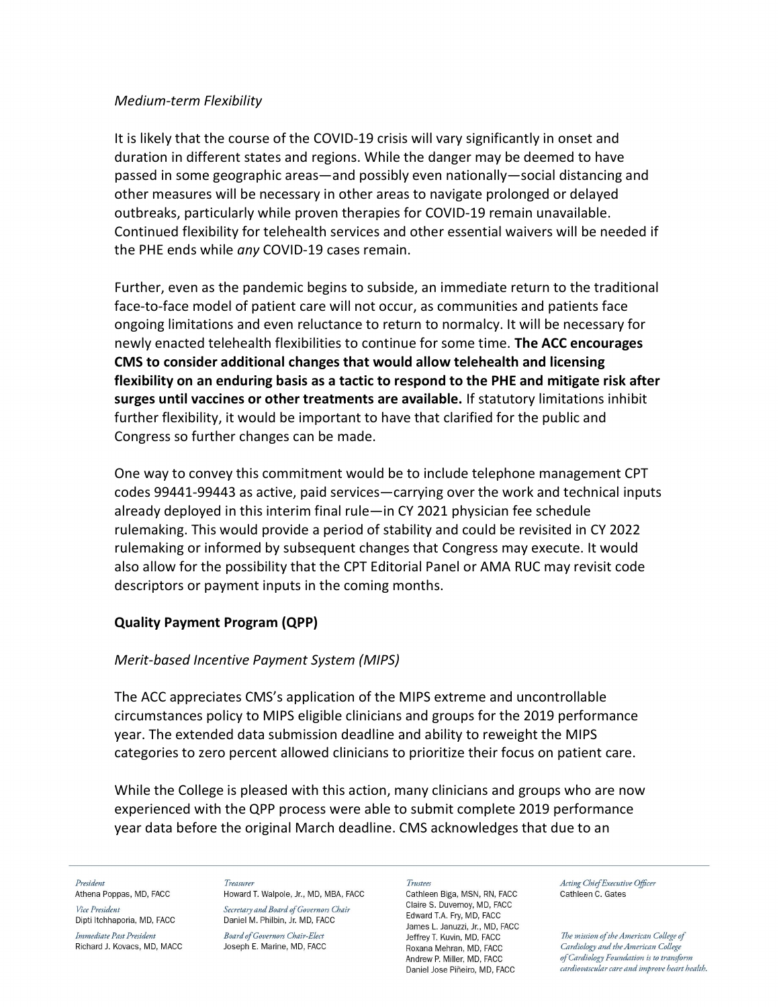# Medium-term Flexibility

It is likely that the course of the COVID-19 crisis will vary significantly in onset and duration in different states and regions. While the danger may be deemed to have passed in some geographic areas—and possibly even nationally—social distancing and other measures will be necessary in other areas to navigate prolonged or delayed outbreaks, particularly while proven therapies for COVID-19 remain unavailable. Continued flexibility for telehealth services and other essential waivers will be needed if the PHE ends while any COVID-19 cases remain.

Further, even as the pandemic begins to subside, an immediate return to the traditional face-to-face model of patient care will not occur, as communities and patients face ongoing limitations and even reluctance to return to normalcy. It will be necessary for newly enacted telehealth flexibilities to continue for some time. The ACC encourages CMS to consider additional changes that would allow telehealth and licensing flexibility on an enduring basis as a tactic to respond to the PHE and mitigate risk after surges until vaccines or other treatments are available. If statutory limitations inhibit further flexibility, it would be important to have that clarified for the public and Congress so further changes can be made.

One way to convey this commitment would be to include telephone management CPT codes 99441-99443 as active, paid services—carrying over the work and technical inputs already deployed in this interim final rule—in CY 2021 physician fee schedule rulemaking. This would provide a period of stability and could be revisited in CY 2022 rulemaking or informed by subsequent changes that Congress may execute. It would also allow for the possibility that the CPT Editorial Panel or AMA RUC may revisit code descriptors or payment inputs in the coming months.

# Quality Payment Program (QPP)

# Merit-based Incentive Payment System (MIPS)

The ACC appreciates CMS's application of the MIPS extreme and uncontrollable circumstances policy to MIPS eligible clinicians and groups for the 2019 performance year. The extended data submission deadline and ability to reweight the MIPS categories to zero percent allowed clinicians to prioritize their focus on patient care.

While the College is pleased with this action, many clinicians and groups who are now experienced with the QPP process were able to submit complete 2019 performance year data before the original March deadline. CMS acknowledges that due to an

President

Athena Poppas, MD, FACC Vice President Dipti Itchhaporia, MD, FACC

Immediate Past President Richard J. Kovacs, MD, MACC Treasurer Howard T. Walpole, Jr., MD, MBA, FACC

Secretary and Board of Governors Chair Daniel M. Philbin, Jr. MD, FACC

**Board of Governors Chair-Elect** Joseph E. Marine, MD, FACC Trustees

Cathleen Biga, MSN, RN, FACC Claire S. Duvernov, MD, FACC Edward T.A. Fry, MD, FACC James L. Januzzi, Jr., MD, FACC Jeffrey T. Kuvin, MD, FACC Roxana Mehran, MD, FACC Andrew P. Miller, MD. FACC Daniel Jose Piñeiro, MD, FACC

Acting Chief Executive Officer Cathleen C. Gates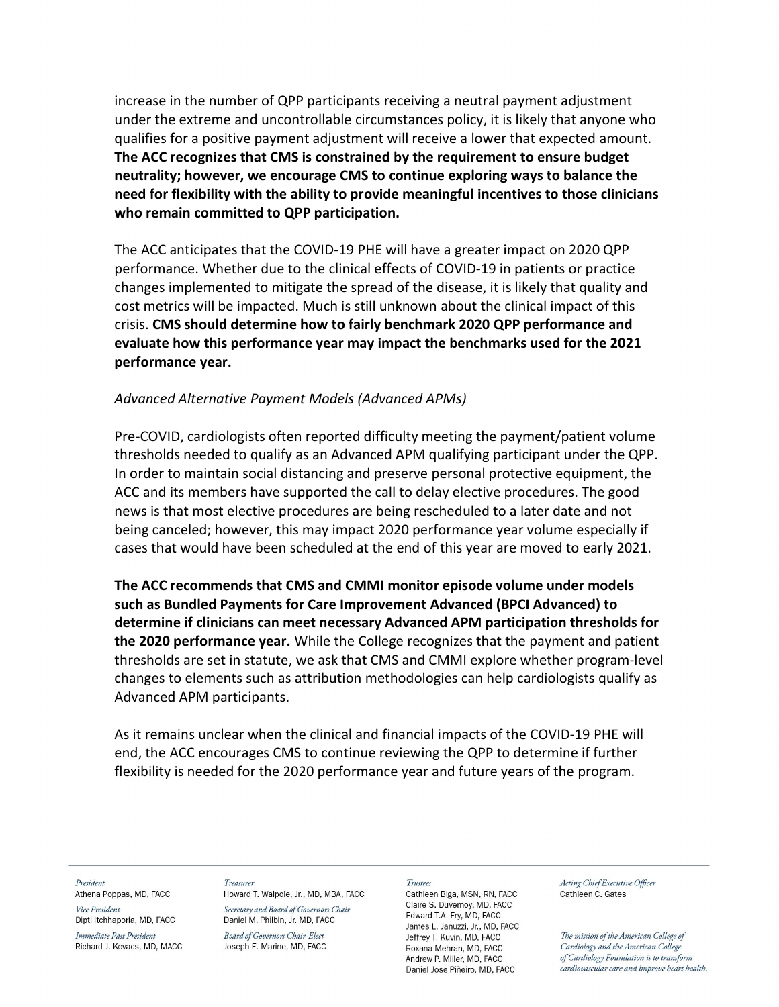increase in the number of QPP participants receiving a neutral payment adjustment under the extreme and uncontrollable circumstances policy, it is likely that anyone who qualifies for a positive payment adjustment will receive a lower that expected amount. The ACC recognizes that CMS is constrained by the requirement to ensure budget neutrality; however, we encourage CMS to continue exploring ways to balance the need for flexibility with the ability to provide meaningful incentives to those clinicians who remain committed to QPP participation.

The ACC anticipates that the COVID-19 PHE will have a greater impact on 2020 QPP performance. Whether due to the clinical effects of COVID-19 in patients or practice changes implemented to mitigate the spread of the disease, it is likely that quality and cost metrics will be impacted. Much is still unknown about the clinical impact of this crisis. CMS should determine how to fairly benchmark 2020 QPP performance and evaluate how this performance year may impact the benchmarks used for the 2021 performance year.

# Advanced Alternative Payment Models (Advanced APMs)

Pre-COVID, cardiologists often reported difficulty meeting the payment/patient volume thresholds needed to qualify as an Advanced APM qualifying participant under the QPP. In order to maintain social distancing and preserve personal protective equipment, the ACC and its members have supported the call to delay elective procedures. The good news is that most elective procedures are being rescheduled to a later date and not being canceled; however, this may impact 2020 performance year volume especially if cases that would have been scheduled at the end of this year are moved to early 2021.

The ACC recommends that CMS and CMMI monitor episode volume under models such as Bundled Payments for Care Improvement Advanced (BPCI Advanced) to determine if clinicians can meet necessary Advanced APM participation thresholds for the 2020 performance year. While the College recognizes that the payment and patient thresholds are set in statute, we ask that CMS and CMMI explore whether program-level changes to elements such as attribution methodologies can help cardiologists qualify as Advanced APM participants.

As it remains unclear when the clinical and financial impacts of the COVID-19 PHE will end, the ACC encourages CMS to continue reviewing the QPP to determine if further flexibility is needed for the 2020 performance year and future years of the program.

President Athena Poppas, MD, FACC Vice President Dipti Itchhaporia, MD, FACC

Immediate Past President Richard J. Kovacs, MD, MACC Treasurer

Howard T. Walpole, Jr., MD, MBA, FACC Secretary and Board of Governors Chair Daniel M. Philbin, Jr. MD, FACC

**Board of Governors Chair-Elect** Joseph E. Marine, MD, FACC

### Trustees

Cathleen Biga, MSN, RN, FACC Claire S. Duvernov, MD, FACC Edward T.A. Fry, MD, FACC James L. Januzzi, Jr., MD, FACC Jeffrey T. Kuvin, MD, FACC Roxana Mehran, MD, FACC Andrew P. Miller, MD. FACC Daniel Jose Piñeiro, MD, FACC

Acting Chief Executive Officer Cathleen C. Gates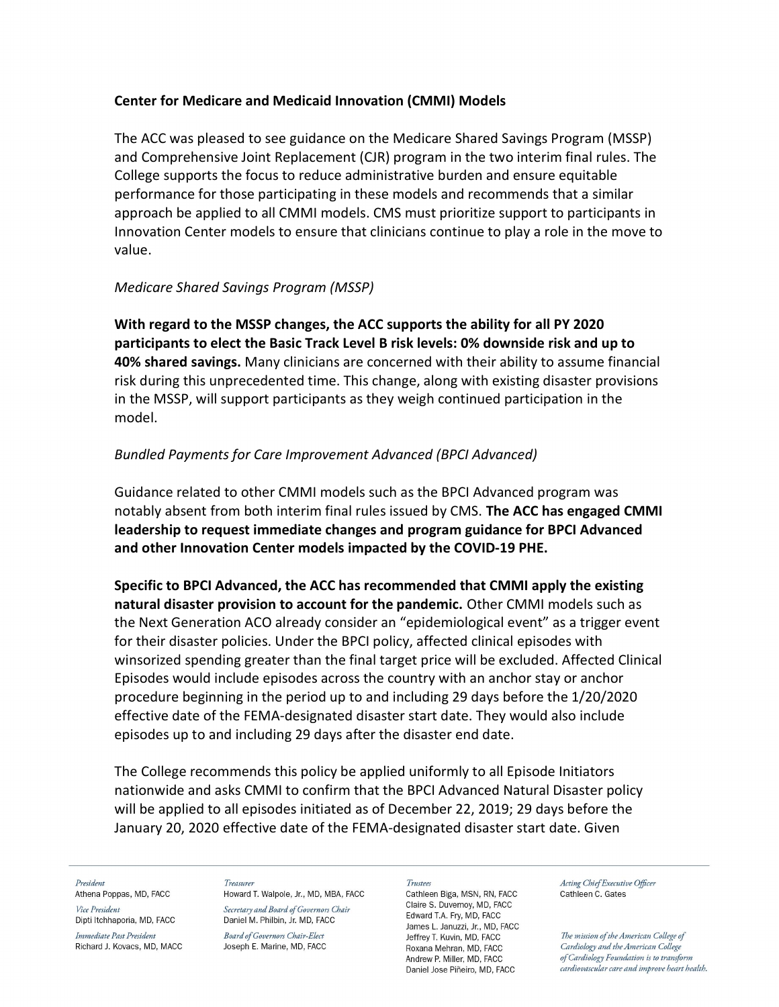# Center for Medicare and Medicaid Innovation (CMMI) Models

The ACC was pleased to see guidance on the Medicare Shared Savings Program (MSSP) and Comprehensive Joint Replacement (CJR) program in the two interim final rules. The College supports the focus to reduce administrative burden and ensure equitable performance for those participating in these models and recommends that a similar approach be applied to all CMMI models. CMS must prioritize support to participants in Innovation Center models to ensure that clinicians continue to play a role in the move to value.

# Medicare Shared Savings Program (MSSP)

With regard to the MSSP changes, the ACC supports the ability for all PY 2020 participants to elect the Basic Track Level B risk levels: 0% downside risk and up to **40% shared savings.** Many clinicians are concerned with their ability to assume financial risk during this unprecedented time. This change, along with existing disaster provisions in the MSSP, will support participants as they weigh continued participation in the model.

# Bundled Payments for Care Improvement Advanced (BPCI Advanced)

Guidance related to other CMMI models such as the BPCI Advanced program was notably absent from both interim final rules issued by CMS. The ACC has engaged CMMI leadership to request immediate changes and program guidance for BPCI Advanced and other Innovation Center models impacted by the COVID-19 PHE.

Specific to BPCI Advanced, the ACC has recommended that CMMI apply the existing natural disaster provision to account for the pandemic. Other CMMI models such as the Next Generation ACO already consider an "epidemiological event" as a trigger event for their disaster policies. Under the BPCI policy, affected clinical episodes with winsorized spending greater than the final target price will be excluded. Affected Clinical Episodes would include episodes across the country with an anchor stay or anchor procedure beginning in the period up to and including 29 days before the 1/20/2020 effective date of the FEMA-designated disaster start date. They would also include episodes up to and including 29 days after the disaster end date.

The College recommends this policy be applied uniformly to all Episode Initiators nationwide and asks CMMI to confirm that the BPCI Advanced Natural Disaster policy will be applied to all episodes initiated as of December 22, 2019; 29 days before the January 20, 2020 effective date of the FEMA-designated disaster start date. Given

### President

Athena Poppas, MD, FACC Vice President Dipti Itchhaporia, MD, FACC

Immediate Past President Richard J. Kovacs, MD, MACC Treasurer Howard T. Walpole, Jr., MD, MBA, FACC

Secretary and Board of Governors Chair Daniel M. Philbin, Jr. MD, FACC

**Board of Governors Chair-Elect** Joseph E. Marine, MD, FACC

### Trustees

Cathleen Biga, MSN, RN, FACC Claire S. Duvernov, MD, FACC Edward T.A. Fry, MD, FACC James L. Januzzi, Jr., MD, FACC Jeffrey T. Kuvin, MD, FACC Roxana Mehran, MD, FACC Andrew P. Miller, MD. FACC Daniel Jose Piñeiro, MD, FACC

Acting Chief Executive Officer Cathleen C. Gates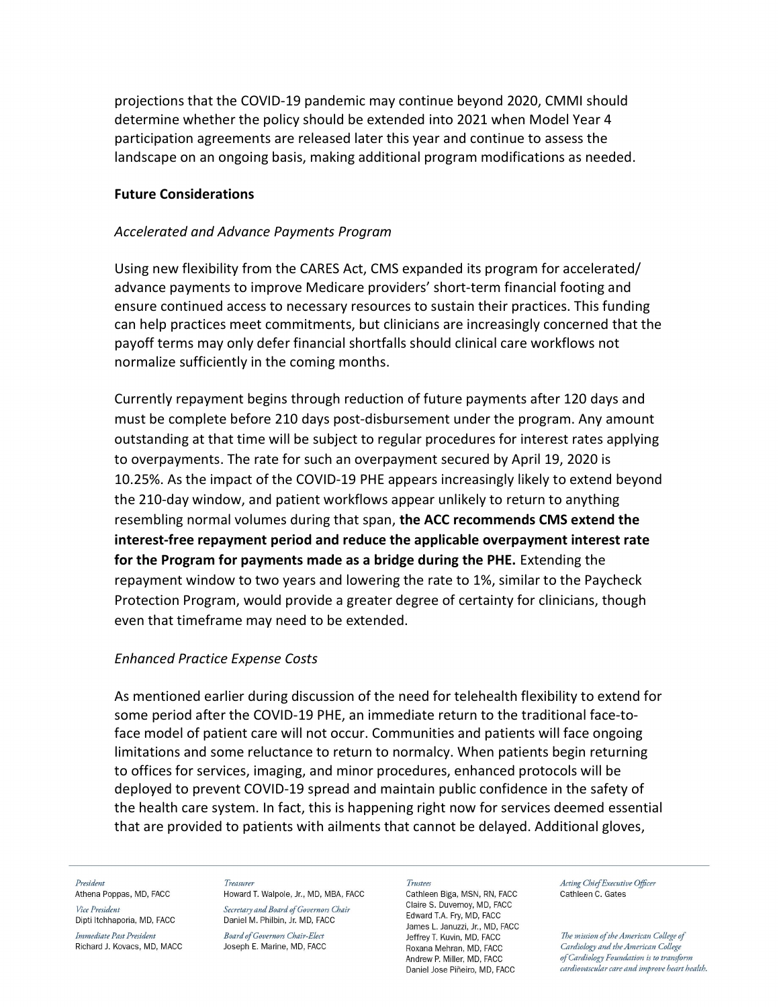projections that the COVID-19 pandemic may continue beyond 2020, CMMI should determine whether the policy should be extended into 2021 when Model Year 4 participation agreements are released later this year and continue to assess the landscape on an ongoing basis, making additional program modifications as needed.

## Future Considerations

## Accelerated and Advance Payments Program

Using new flexibility from the CARES Act, CMS expanded its program for accelerated/ advance payments to improve Medicare providers' short-term financial footing and ensure continued access to necessary resources to sustain their practices. This funding can help practices meet commitments, but clinicians are increasingly concerned that the payoff terms may only defer financial shortfalls should clinical care workflows not normalize sufficiently in the coming months.

Currently repayment begins through reduction of future payments after 120 days and must be complete before 210 days post-disbursement under the program. Any amount outstanding at that time will be subject to regular procedures for interest rates applying to overpayments. The rate for such an overpayment secured by April 19, 2020 is 10.25%. As the impact of the COVID-19 PHE appears increasingly likely to extend beyond the 210-day window, and patient workflows appear unlikely to return to anything resembling normal volumes during that span, the ACC recommends CMS extend the interest-free repayment period and reduce the applicable overpayment interest rate for the Program for payments made as a bridge during the PHE. Extending the repayment window to two years and lowering the rate to 1%, similar to the Paycheck Protection Program, would provide a greater degree of certainty for clinicians, though even that timeframe may need to be extended.

## Enhanced Practice Expense Costs

As mentioned earlier during discussion of the need for telehealth flexibility to extend for some period after the COVID-19 PHE, an immediate return to the traditional face-toface model of patient care will not occur. Communities and patients will face ongoing limitations and some reluctance to return to normalcy. When patients begin returning to offices for services, imaging, and minor procedures, enhanced protocols will be deployed to prevent COVID-19 spread and maintain public confidence in the safety of the health care system. In fact, this is happening right now for services deemed essential that are provided to patients with ailments that cannot be delayed. Additional gloves,

### President

Athena Poppas, MD, FACC Vice President Dipti Itchhaporia, MD, FACC

Immediate Past President Richard J. Kovacs, MD, MACC

### Treasurer Howard T. Walpole, Jr., MD, MBA, FACC

Secretary and Board of Governors Chair Daniel M. Philbin, Jr. MD, FACC

**Board of Governors Chair-Elect** Joseph E. Marine, MD, FACC

#### Trustees

Cathleen Biga, MSN, RN, FACC Claire S. Duvernov, MD, FACC Edward T.A. Fry, MD, FACC James L. Januzzi, Jr., MD, FACC Jeffrey T. Kuvin, MD, FACC Roxana Mehran, MD, FACC Andrew P. Miller, MD. FACC Daniel Jose Piñeiro, MD, FACC

Acting Chief Executive Officer Cathleen C. Gates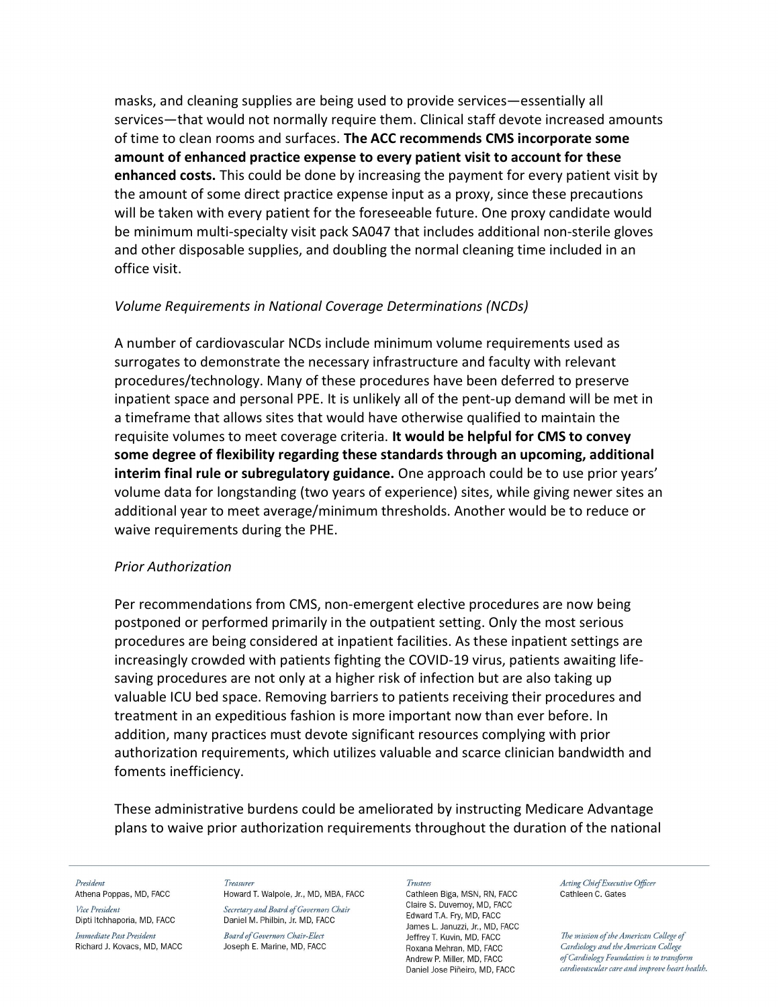masks, and cleaning supplies are being used to provide services—essentially all services—that would not normally require them. Clinical staff devote increased amounts of time to clean rooms and surfaces. The ACC recommends CMS incorporate some amount of enhanced practice expense to every patient visit to account for these enhanced costs. This could be done by increasing the payment for every patient visit by the amount of some direct practice expense input as a proxy, since these precautions will be taken with every patient for the foreseeable future. One proxy candidate would be minimum multi-specialty visit pack SA047 that includes additional non-sterile gloves and other disposable supplies, and doubling the normal cleaning time included in an office visit.

# Volume Requirements in National Coverage Determinations (NCDs)

A number of cardiovascular NCDs include minimum volume requirements used as surrogates to demonstrate the necessary infrastructure and faculty with relevant procedures/technology. Many of these procedures have been deferred to preserve inpatient space and personal PPE. It is unlikely all of the pent-up demand will be met in a timeframe that allows sites that would have otherwise qualified to maintain the requisite volumes to meet coverage criteria. It would be helpful for CMS to convey some degree of flexibility regarding these standards through an upcoming, additional interim final rule or subregulatory guidance. One approach could be to use prior years' volume data for longstanding (two years of experience) sites, while giving newer sites an additional year to meet average/minimum thresholds. Another would be to reduce or waive requirements during the PHE.

## Prior Authorization

Per recommendations from CMS, non-emergent elective procedures are now being postponed or performed primarily in the outpatient setting. Only the most serious procedures are being considered at inpatient facilities. As these inpatient settings are increasingly crowded with patients fighting the COVID-19 virus, patients awaiting lifesaving procedures are not only at a higher risk of infection but are also taking up valuable ICU bed space. Removing barriers to patients receiving their procedures and treatment in an expeditious fashion is more important now than ever before. In addition, many practices must devote significant resources complying with prior authorization requirements, which utilizes valuable and scarce clinician bandwidth and foments inefficiency.

These administrative burdens could be ameliorated by instructing Medicare Advantage plans to waive prior authorization requirements throughout the duration of the national

President Athena Poppas, MD, FACC Vice President

Dipti Itchhaporia, MD, FACC

Immediate Past President Richard J. Kovacs, MD, MACC Treasurer Howard T. Walpole, Jr., MD, MBA, FACC

Secretary and Board of Governors Chair Daniel M. Philbin, Jr. MD, FACC

**Board of Governors Chair-Elect** Joseph E. Marine, MD, FACC **Trustee** 

Cathleen Biga, MSN, RN, FACC Claire S. Duvernoy, MD, FACC Edward T.A. Fry, MD, FACC James L. Januzzi, Jr., MD, FACC Jeffrey T. Kuvin, MD, FACC Roxana Mehran, MD, FACC Andrew P. Miller, MD. FACC Daniel Jose Piñeiro, MD, FACC

Acting Chief Executive Officer Cathleen C. Gates